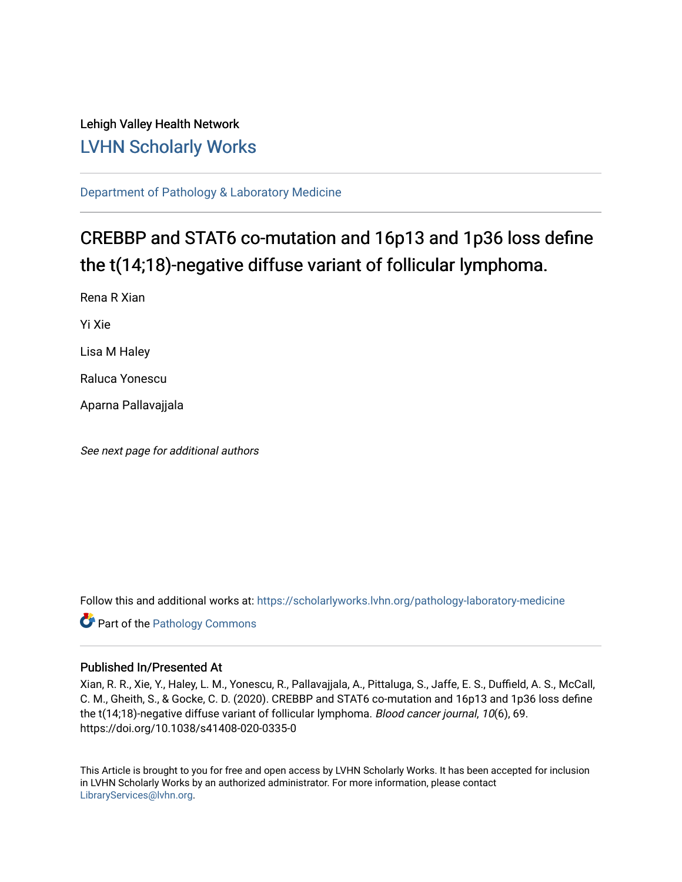# Lehigh Valley Health Network [LVHN Scholarly Works](https://scholarlyworks.lvhn.org/)

[Department of Pathology & Laboratory Medicine](https://scholarlyworks.lvhn.org/pathology-laboratory-medicine) 

# CREBBP and STAT6 co-mutation and 16p13 and 1p36 loss define the t(14;18)-negative diffuse variant of follicular lymphoma.

Rena R Xian Yi Xie Lisa M Haley Raluca Yonescu Aparna Pallavajjala

See next page for additional authors

Follow this and additional works at: [https://scholarlyworks.lvhn.org/pathology-laboratory-medicine](https://scholarlyworks.lvhn.org/pathology-laboratory-medicine?utm_source=scholarlyworks.lvhn.org%2Fpathology-laboratory-medicine%2F491&utm_medium=PDF&utm_campaign=PDFCoverPages)

**Part of the [Pathology Commons](https://network.bepress.com/hgg/discipline/699?utm_source=scholarlyworks.lvhn.org%2Fpathology-laboratory-medicine%2F491&utm_medium=PDF&utm_campaign=PDFCoverPages)** 

## Published In/Presented At

Xian, R. R., Xie, Y., Haley, L. M., Yonescu, R., Pallavajjala, A., Pittaluga, S., Jaffe, E. S., Duffield, A. S., McCall, C. M., Gheith, S., & Gocke, C. D. (2020). CREBBP and STAT6 co-mutation and 16p13 and 1p36 loss define the t(14;18)-negative diffuse variant of follicular lymphoma. Blood cancer journal, 10(6), 69. https://doi.org/10.1038/s41408-020-0335-0

This Article is brought to you for free and open access by LVHN Scholarly Works. It has been accepted for inclusion in LVHN Scholarly Works by an authorized administrator. For more information, please contact [LibraryServices@lvhn.org](mailto:LibraryServices@lvhn.org).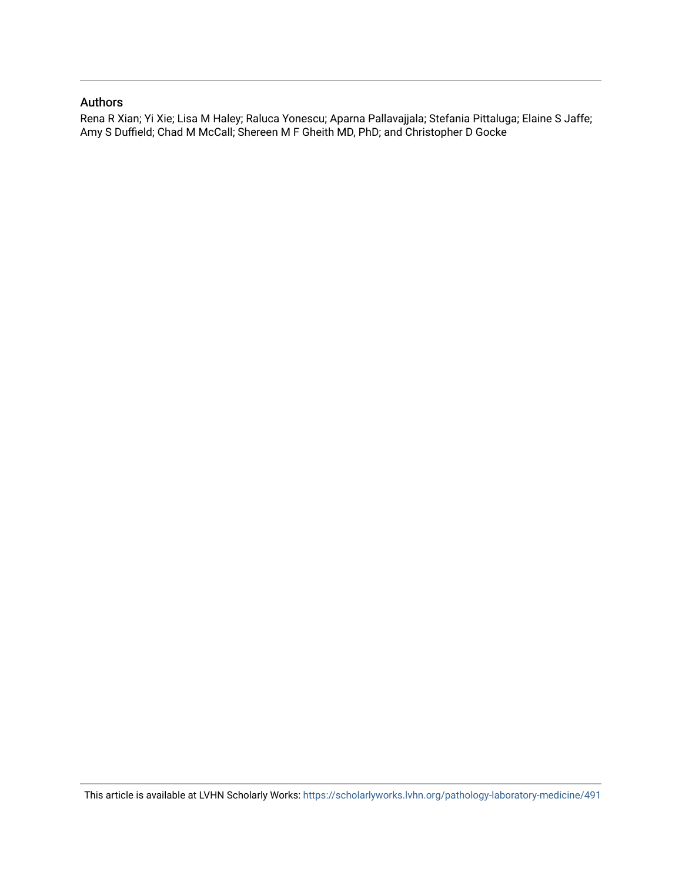## Authors

Rena R Xian; Yi Xie; Lisa M Haley; Raluca Yonescu; Aparna Pallavajjala; Stefania Pittaluga; Elaine S Jaffe; Amy S Duffield; Chad M McCall; Shereen M F Gheith MD, PhD; and Christopher D Gocke

This article is available at LVHN Scholarly Works:<https://scholarlyworks.lvhn.org/pathology-laboratory-medicine/491>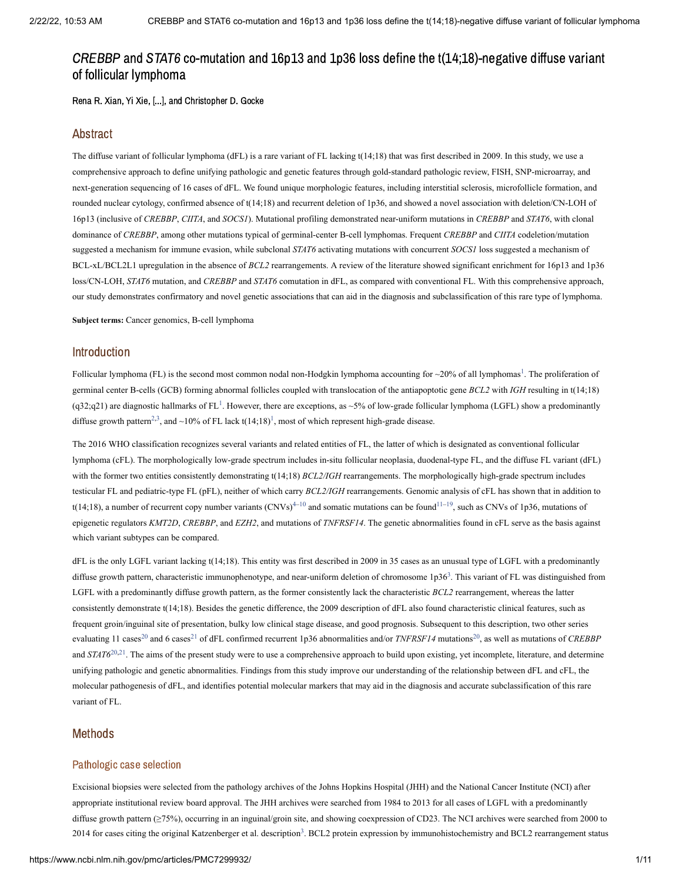Rena R. Xian, Yi Xie, [...], and Christopher D. Gocke

## Abstract

The diffuse variant of follicular lymphoma (dFL) is a rare variant of FL lacking t(14;18) that was first described in 2009. In this study, we use a comprehensive approach to define unifying pathologic and genetic features through gold-standard pathologic review, FISH, SNP-microarray, and next-generation sequencing of 16 cases of dFL. We found unique morphologic features, including interstitial sclerosis, microfollicle formation, and rounded nuclear cytology, confirmed absence of t(14;18) and recurrent deletion of 1p36, and showed a novel association with deletion/CN-LOH of 16p13 (inclusive of *CREBBP*, *CIITA*, and *SOCS1*). Mutational profiling demonstrated near-uniform mutations in *CREBBP* and *STAT6*, with clonal dominance of *CREBBP*, among other mutations typical of germinal-center B-cell lymphomas. Frequent *CREBBP* and *CIITA* codeletion/mutation suggested a mechanism for immune evasion, while subclonal *STAT6* activating mutations with concurrent *SOCS1* loss suggested a mechanism of BCL-xL/BCL2L1 upregulation in the absence of *BCL2* rearrangements. A review of the literature showed significant enrichment for 16p13 and 1p36 loss/CN-LOH, *STAT6* mutation, and *CREBBP* and *STAT6* comutation in dFL, as compared with conventional FL. With this comprehensive approach, our study demonstrates confirmatory and novel genetic associations that can aid in the diagnosis and subclassification of this rare type of lymphoma.

**Subject terms:** Cancer genomics, B-cell lymphoma

## Introduction

Follicular lymphoma (FL) is the second most common nodal non-Hodgkin lymphoma accounting for  $\sim$ 20% of all lymphomas<sup>[1](#page-9-0)</sup>. The proliferation of germinal center B-cells (GCB) forming abnormal follicles coupled with translocation of the antiapoptotic gene *BCL2* with *IGH* resulting in t(14;18)  $(q32;q21)$  $(q32;q21)$  $(q32;q21)$  are diagnostic hallmarks of FL<sup>1</sup>. However, there are exceptions, as ~5% of low-grade follicular lymphoma (LGFL) show a predominantly diffuse growth pattern<sup>[2,](#page-9-1)[3](#page-9-2)</sup>, and ~[1](#page-9-0)0% of FL lack t(14;18)<sup>1</sup>, most of which represent high-grade disease.

The 2016 WHO classification recognizes several variants and related entities of FL, the latter of which is designated as conventional follicular lymphoma (cFL). The morphologically low-grade spectrum includes in-situ follicular neoplasia, duodenal-type FL, and the diffuse FL variant (dFL) with the former two entities consistently demonstrating t(14;18) *BCL2/IGH* rearrangements. The morphologically high-grade spectrum includes testicular FL and pediatric-type FL (pFL), neither of which carry *BCL2/IGH* rearrangements. Genomic analysis of cFL has shown that in addition to t(14;18), a number of recurrent copy number variants (CNVs)<sup>4-[10](#page-9-4)</sup> and somatic mutations can be found<sup>11-[19](#page-10-0)</sup>, such as CNVs of 1p36, mutations of epigenetic regulators *KMT2D*, *CREBBP*, and *EZH2*, and mutations of *TNFRSF14*. The genetic abnormalities found in cFL serve as the basis against which variant subtypes can be compared.

dFL is the only LGFL variant lacking t(14;18). This entity was first described in 2009 in 35 cases as an unusual type of LGFL with a predominantly diffuse growth pattern, characteristic immunophenotype, and near-uniform deletion of chromosome  $1p36<sup>3</sup>$  $1p36<sup>3</sup>$  $1p36<sup>3</sup>$ . This variant of FL was distinguished from LGFL with a predominantly diffuse growth pattern, as the former consistently lack the characteristic *BCL2* rearrangement, whereas the latter consistently demonstrate t(14;18). Besides the genetic difference, the 2009 description of dFL also found characteristic clinical features, such as frequent groin/inguinal site of presentation, bulky low clinical stage disease, and good prognosis. Subsequent to this description, two other series evaluating 11 cases<sup>[20](#page-10-1)</sup> and 6 cases<sup>[21](#page-10-2)</sup> of dFL confirmed recurrent 1p36 abnormalities and/or *TNFRSF14* mutations<sup>20</sup>, as well as mutations of *CREBBP* and  $STAT6^{20,21}$  $STAT6^{20,21}$  $STAT6^{20,21}$  $STAT6^{20,21}$ . The aims of the present study were to use a comprehensive approach to build upon existing, yet incomplete, literature, and determine unifying pathologic and genetic abnormalities. Findings from this study improve our understanding of the relationship between dFL and cFL, the molecular pathogenesis of dFL, and identifies potential molecular markers that may aid in the diagnosis and accurate subclassification of this rare variant of FL.

## Methods

### Pathologic case selection

Excisional biopsies were selected from the pathology archives of the Johns Hopkins Hospital (JHH) and the National Cancer Institute (NCI) after appropriate institutional review board approval. The JHH archives were searched from 1984 to 2013 for all cases of LGFL with a predominantly diffuse growth pattern (≥75%), occurring in an inguinal/groin site, and showing coexpression of CD23. The NCI archives were searched from 2000 to 2014 for cases citing the original Katzenberger et al. description<sup>[3](#page-9-2)</sup>. BCL2 protein expression by immunohistochemistry and BCL2 rearrangement status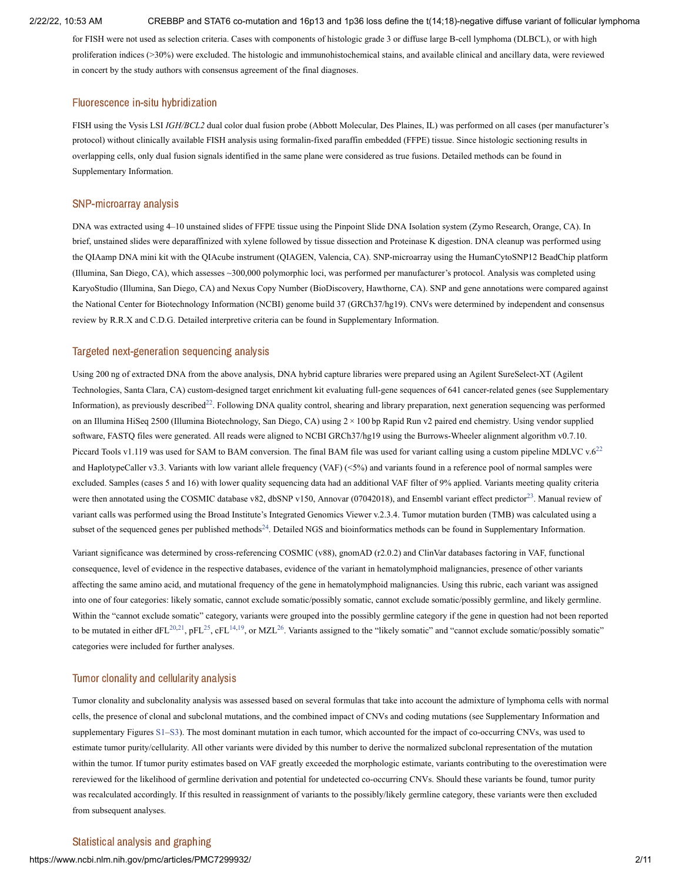for FISH were not used as selection criteria. Cases with components of histologic grade 3 or diffuse large B-cell lymphoma (DLBCL), or with high proliferation indices (>30%) were excluded. The histologic and immunohistochemical stains, and available clinical and ancillary data, were reviewed in concert by the study authors with consensus agreement of the final diagnoses.

#### Fluorescence in-situ hybridization

FISH using the Vysis LSI *IGH/BCL2* dual color dual fusion probe (Abbott Molecular, Des Plaines, IL) was performed on all cases (per manufacturer's protocol) without clinically available FISH analysis using formalin-fixed paraffin embedded (FFPE) tissue. Since histologic sectioning results in overlapping cells, only dual fusion signals identified in the same plane were considered as true fusions. Detailed methods can be found in Supplementary Information.

### SNP-microarray analysis

DNA was extracted using 4–10 unstained slides of FFPE tissue using the Pinpoint Slide DNA Isolation system (Zymo Research, Orange, CA). In brief, unstained slides were deparaffinized with xylene followed by tissue dissection and Proteinase K digestion. DNA cleanup was performed using the QIAamp DNA mini kit with the QIAcube instrument (QIAGEN, Valencia, CA). SNP-microarray using the HumanCytoSNP12 BeadChip platform (Illumina, San Diego, CA), which assesses ~300,000 polymorphic loci, was performed per manufacturer's protocol. Analysis was completed using KaryoStudio (Illumina, San Diego, CA) and Nexus Copy Number (BioDiscovery, Hawthorne, CA). SNP and gene annotations were compared against the National Center for Biotechnology Information (NCBI) genome build 37 (GRCh37/hg19). CNVs were determined by independent and consensus review by R.R.X and C.D.G. Detailed interpretive criteria can be found in Supplementary Information.

#### Targeted next-generation sequencing analysis

Using 200 ng of extracted DNA from the above analysis, DNA hybrid capture libraries were prepared using an Agilent SureSelect-XT (Agilent Technologies, Santa Clara, CA) custom-designed target enrichment kit evaluating full-gene sequences of 641 cancer-related genes (see Supplementary Information), as previously described<sup>[22](#page-10-3)</sup>. Following DNA quality control, shearing and library preparation, next generation sequencing was performed on an Illumina HiSeq 2500 (Illumina Biotechnology, San Diego, CA) using 2 × 100 bp Rapid Run v2 paired end chemistry. Using vendor supplied software, FASTQ files were generated. All reads were aligned to NCBI GRCh37/hg19 using the Burrows-Wheeler alignment algorithm v0.7.10. Piccard Tools v1.119 was used for SAM to BAM conversion. The final BAM file was used for variant calling using a custom pipeline MDLVC v.6<sup>[22](#page-10-3)</sup> and HaplotypeCaller v3.3. Variants with low variant allele frequency (VAF) (<5%) and variants found in a reference pool of normal samples were excluded. Samples (cases 5 and 16) with lower quality sequencing data had an additional VAF filter of 9% applied. Variants meeting quality criteria were then annotated using the COSMIC database v82, dbSNP v150, Annovar (07042018), and Ensembl variant effect predictor<sup>[23](#page-10-4)</sup>. Manual review of variant calls was performed using the Broad Institute's Integrated Genomics Viewer v.2.3.4. Tumor mutation burden (TMB) was calculated using a subset of the sequenced genes per published methods<sup>[24](#page-10-5)</sup>. Detailed NGS and bioinformatics methods can be found in Supplementary Information.

Variant significance was determined by cross-referencing COSMIC (v88), gnomAD (r2.0.2) and ClinVar databases factoring in VAF, functional consequence, level of evidence in the respective databases, evidence of the variant in hematolymphoid malignancies, presence of other variants affecting the same amino acid, and mutational frequency of the gene in hematolymphoid malignancies. Using this rubric, each variant was assigned into one of four categories: likely somatic, cannot exclude somatic/possibly somatic, cannot exclude somatic/possibly germline, and likely germline. Within the "cannot exclude somatic" category, variants were grouped into the possibly germline category if the gene in question had not been reported to be mutated in either dFL<sup>[20](#page-10-1),[21](#page-10-2)</sup>, pFL<sup>[25](#page-10-6)</sup>, cFL<sup>[14,](#page-9-6)[19](#page-10-0)</sup>, or MZL<sup>[26](#page-10-7)</sup>. Variants assigned to the "likely somatic" and "cannot exclude somatic/possibly somatic" categories were included for further analyses.

### Tumor clonality and cellularity analysis

Tumor clonality and subclonality analysis was assessed based on several formulas that take into account the admixture of lymphoma cells with normal cells, the presence of clonal and subclonal mutations, and the combined impact of CNVs and coding mutations (see Supplementary Information and supplementary Figures [S1](#page-8-0)–[S3\)](#page-8-0). The most dominant mutation in each tumor, which accounted for the impact of co-occurring CNVs, was used to estimate tumor purity/cellularity. All other variants were divided by this number to derive the normalized subclonal representation of the mutation within the tumor. If tumor purity estimates based on VAF greatly exceeded the morphologic estimate, variants contributing to the overestimation were rereviewed for the likelihood of germline derivation and potential for undetected co-occurring CNVs. Should these variants be found, tumor purity was recalculated accordingly. If this resulted in reassignment of variants to the possibly/likely germline category, these variants were then excluded from subsequent analyses.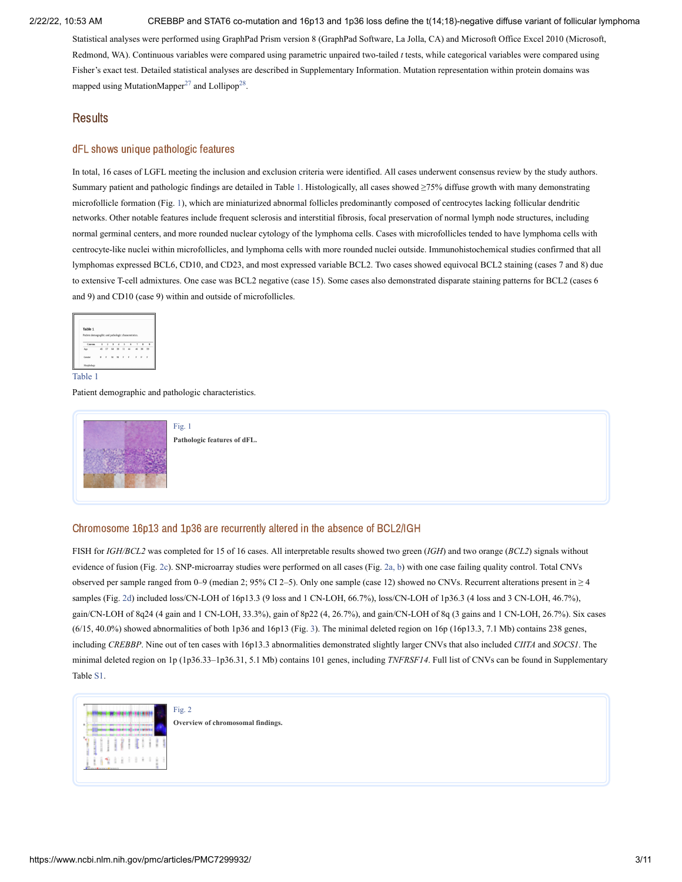Statistical analyses were performed using GraphPad Prism version 8 (GraphPad Software, La Jolla, CA) and Microsoft Office Excel 2010 (Microsoft, Redmond, WA). Continuous variables were compared using parametric unpaired two-tailed *t* tests, while categorical variables were compared using Fisher's exact test. Detailed statistical analyses are described in Supplementary Information. Mutation representation within protein domains was mapped using MutationMapper<sup>[27](#page-10-8)</sup> and Lollipop<sup>[28](#page-10-9)</sup>.

## **Results**

## dFL shows unique pathologic features

In total, 16 cases of LGFL meeting the inclusion and exclusion criteria were identified. All cases underwent consensus review by the study authors. Summary patient and pathologic findings are detailed in [Table](https://www.ncbi.nlm.nih.gov/pmc/articles/PMC7299932/table/Tab1/?report=objectonly) 1. Histologically, all cases showed ≥75% diffuse growth with many demonstrating microfollicle formation [\(Fig.](https://www.ncbi.nlm.nih.gov/pmc/articles/PMC7299932/figure/Fig1/?report=objectonly) 1), which are miniaturized abnormal follicles predominantly composed of centrocytes lacking follicular dendritic networks. Other notable features include frequent sclerosis and interstitial fibrosis, focal preservation of normal lymph node structures, including normal germinal centers, and more rounded nuclear cytology of the lymphoma cells. Cases with microfollicles tended to have lymphoma cells with centrocyte-like nuclei within microfollicles, and lymphoma cells with more rounded nuclei outside. Immunohistochemical studies confirmed that all lymphomas expressed BCL6, CD10, and CD23, and most expressed variable BCL2. Two cases showed equivocal BCL2 staining (cases 7 and 8) due to extensive T-cell admixtures. One case was BCL2 negative (case 15). Some cases also demonstrated disparate staining patterns for BCL2 (cases 6 and 9) and CD10 (case 9) within and outside of microfollicles.



[Table](https://www.ncbi.nlm.nih.gov/pmc/articles/PMC7299932/table/Tab1/?report=objectonly) 1

Patient demographic and pathologic characteristics.



[Fig.](https://www.ncbi.nlm.nih.gov/pmc/articles/PMC7299932/figure/Fig1/?report=objectonly) 1 **Pathologic features of dFL.**

### Chromosome 16p13 and 1p36 are recurrently altered in the absence of BCL2/IGH

FISH for *IGH/BCL2* was completed for 15 of 16 cases. All interpretable results showed two green (*IGH*) and two orange (*BCL2*) signals without evidence of fusion [\(Fig.](https://www.ncbi.nlm.nih.gov/pmc/articles/PMC7299932/figure/Fig2/?report=objectonly) 2c). SNP-microarray studies were performed on all cases (Fig. [2a,](https://www.ncbi.nlm.nih.gov/pmc/articles/PMC7299932/figure/Fig2/?report=objectonly) b) with one case failing quality control. Total CNVs observed per sample ranged from 0–9 (median 2; 95% CI 2–5). Only one sample (case 12) showed no CNVs. Recurrent alterations present in ≥ 4 samples [\(Fig.](https://www.ncbi.nlm.nih.gov/pmc/articles/PMC7299932/figure/Fig2/?report=objectonly) 2d) included loss/CN-LOH of 16p13.3 (9 loss and 1 CN-LOH, 66.7%), loss/CN-LOH of 1p36.3 (4 loss and 3 CN-LOH, 46.7%), gain/CN-LOH of 8q24 (4 gain and 1 CN-LOH, 33.3%), gain of 8p22 (4, 26.7%), and gain/CN-LOH of 8q (3 gains and 1 CN-LOH, 26.7%). Six cases  $(6/15, 40.0\%)$  showed abnormalities of both 1p36 and 16p13 [\(Fig.](https://www.ncbi.nlm.nih.gov/pmc/articles/PMC7299932/figure/Fig3/?report=objectonly) 3). The minimal deleted region on 16p (16p13.3, 7.1 Mb) contains 238 genes, including *CREBBP*. Nine out of ten cases with 16p13.3 abnormalities demonstrated slightly larger CNVs that also included *CIITA* and *SOCS1*. The minimal deleted region on 1p (1p36.33–1p36.31, 5.1 Mb) contains 101 genes, including *TNFRSF14*. Full list of CNVs can be found in Supplementary Table [S1](#page-8-0).



**Overview of chromosomal findings.**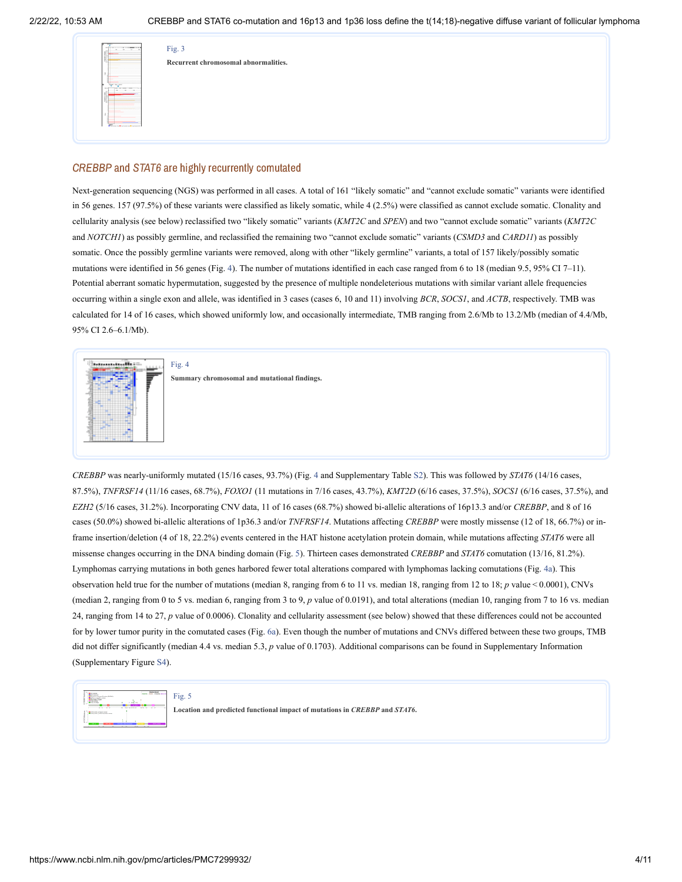| Fig. 3                               |
|--------------------------------------|
| Recurrent chromosomal abnormalities. |
|                                      |
|                                      |
|                                      |
|                                      |
|                                      |
|                                      |

## CREBBP and STAT6 are highly recurrently comutated

Next-generation sequencing (NGS) was performed in all cases. A total of 161 "likely somatic" and "cannot exclude somatic" variants were identified in 56 genes. 157 (97.5%) of these variants were classified as likely somatic, while 4 (2.5%) were classified as cannot exclude somatic. Clonality and cellularity analysis (see below) reclassified two "likely somatic" variants (*KMT2C* and *SPEN*) and two "cannot exclude somatic" variants (*KMT2C* and *NOTCH1*) as possibly germline, and reclassified the remaining two "cannot exclude somatic" variants (*CSMD3* and *CARD11*) as possibly somatic. Once the possibly germline variants were removed, along with other "likely germline" variants, a total of 157 likely/possibly somatic mutations were identified in 56 genes [\(Fig.](https://www.ncbi.nlm.nih.gov/pmc/articles/PMC7299932/figure/Fig4/?report=objectonly) 4). The number of mutations identified in each case ranged from 6 to 18 (median 9.5, 95% CI 7–11). Potential aberrant somatic hypermutation, suggested by the presence of multiple nondeleterious mutations with similar variant allele frequencies occurring within a single exon and allele, was identified in 3 cases (cases 6, 10 and 11) involving *BCR*, *SOCS1*, and *ACTB*, respectively. TMB was calculated for 14 of 16 cases, which showed uniformly low, and occasionally intermediate, TMB ranging from 2.6/Mb to 13.2/Mb (median of 4.4/Mb, 95% CI 2.6–6.1/Mb).



*CREBBP* was nearly-uniformly mutated (15/16 cases, 93.7%) [\(Fig.](https://www.ncbi.nlm.nih.gov/pmc/articles/PMC7299932/figure/Fig4/?report=objectonly) 4 and Supplementary Table [S2\)](#page-8-0). This was followed by *STAT6* (14/16 cases, 87.5%), *TNFRSF14* (11/16 cases, 68.7%), *FOXO1* (11 mutations in 7/16 cases, 43.7%), *KMT2D* (6/16 cases, 37.5%), *SOCS1* (6/16 cases, 37.5%), and *EZH2* (5/16 cases, 31.2%). Incorporating CNV data, 11 of 16 cases (68.7%) showed bi-allelic alterations of 16p13.3 and/or *CREBBP*, and 8 of 16 cases (50.0%) showed bi-allelic alterations of 1p36.3 and/or *TNFRSF14*. Mutations affecting *CREBBP* were mostly missense (12 of 18, 66.7%) or inframe insertion/deletion (4 of 18, 22.2%) events centered in the HAT histone acetylation protein domain, while mutations affecting *STAT6* were all missense changes occurring in the DNA binding domain [\(Fig.](https://www.ncbi.nlm.nih.gov/pmc/articles/PMC7299932/figure/Fig5/?report=objectonly) 5). Thirteen cases demonstrated *CREBBP* and *STAT6* comutation (13/16, 81.2%). Lymphomas carrying mutations in both genes harbored fewer total alterations compared with lymphomas lacking comutations [\(Fig.](https://www.ncbi.nlm.nih.gov/pmc/articles/PMC7299932/figure/Fig4/?report=objectonly) 4a). This observation held true for the number of mutations (median 8, ranging from 6 to 11 vs. median 18, ranging from 12 to 18; *p* value < 0.0001), CNVs (median 2, ranging from 0 to 5 vs. median 6, ranging from 3 to 9, *p* value of 0.0191), and total alterations (median 10, ranging from 7 to 16 vs. median 24, ranging from 14 to 27, *p* value of 0.0006). Clonality and cellularity assessment (see below) showed that these differences could not be accounted for by lower tumor purity in the comutated cases [\(Fig.](https://www.ncbi.nlm.nih.gov/pmc/articles/PMC7299932/figure/Fig6/?report=objectonly) 6a). Even though the number of mutations and CNVs differed between these two groups, TMB did not differ significantly (median 4.4 vs. median 5.3, *p* value of 0.1703). Additional comparisons can be found in Supplementary Information (Supplementary Figure [S4](#page-8-0)).

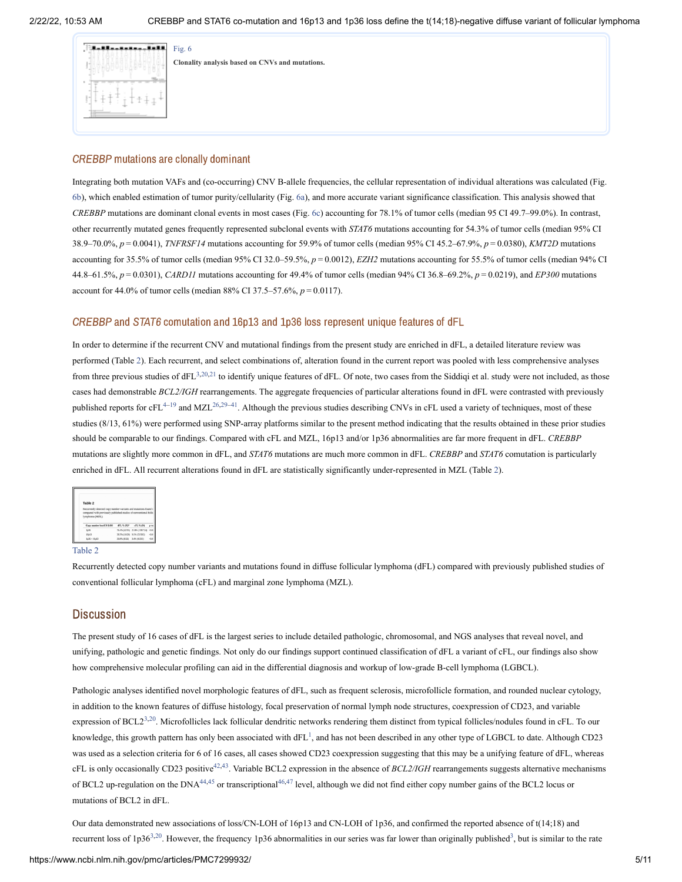|  |   |   |   | Fig. 6 |
|--|---|---|---|--------|
|  |   |   |   | Clonal |
|  |   |   |   |        |
|  |   | ٠ |   |        |
|  |   |   |   |        |
|  | ٠ |   |   |        |
|  | ī |   | ٠ |        |
|  |   |   |   |        |

**Clonality analysis based on CNVs and mutations.**

### CREBBP mutations are clonally dominant

Integrating both mutation VAFs and (co-occurring) CNV B-allele frequencies, the cellular representation of individual alterations was calculated (Fig. [6b](https://www.ncbi.nlm.nih.gov/pmc/articles/PMC7299932/figure/Fig6/?report=objectonly)), which enabled estimation of tumor purity/cellularity [\(Fig.](https://www.ncbi.nlm.nih.gov/pmc/articles/PMC7299932/figure/Fig6/?report=objectonly) 6a), and more accurate variant significance classification. This analysis showed that *CREBBP* mutations are dominant clonal events in most cases [\(Fig.](https://www.ncbi.nlm.nih.gov/pmc/articles/PMC7299932/figure/Fig6/?report=objectonly) 6c) accounting for 78.1% of tumor cells (median 95 CI 49.7–99.0%). In contrast, other recurrently mutated genes frequently represented subclonal events with *STAT6* mutations accounting for 54.3% of tumor cells (median 95% CI 38.9–70.0%, *p* = 0.0041), *TNFRSF14* mutations accounting for 59.9% of tumor cells (median 95% CI 45.2–67.9%, *p* = 0.0380), *KMT2D* mutations accounting for 35.5% of tumor cells (median 95% CI 32.0–59.5%, *p* = 0.0012), *EZH2* mutations accounting for 55.5% of tumor cells (median 94% CI 44.8–61.5%, *p* = 0.0301), *CARD11* mutations accounting for 49.4% of tumor cells (median 94% CI 36.8–69.2%, *p* = 0.0219), and *EP300* mutations account for 44.0% of tumor cells (median 88% CI 37.5–57.6%, *p* = 0.0117).

#### CREBBP and STAT6 comutation and 16p13 and 1p36 loss represent unique features of dFL

In order to determine if the recurrent CNV and mutational findings from the present study are enriched in dFL, a detailed literature review was performed [\(Table](https://www.ncbi.nlm.nih.gov/pmc/articles/PMC7299932/table/Tab2/?report=objectonly) 2). Each recurrent, and select combinations of, alteration found in the current report was pooled with less comprehensive analyses from three previous studies of  $dFL^{3,20,21}$  $dFL^{3,20,21}$  $dFL^{3,20,21}$  $dFL^{3,20,21}$  $dFL^{3,20,21}$  to identify unique features of dFL. Of note, two cases from the Siddiqi et al. study were not included, as those cases had demonstrable *BCL2/IGH* rearrangements. The aggregate frequencies of particular alterations found in dFL were contrasted with previously published reports for cFL<sup>4-[19](#page-10-0)</sup> and MZL<sup>[26](#page-10-7)[,29](#page-10-10)-[41](#page-11-0)</sup>. Although the previous studies describing CNVs in cFL used a variety of techniques, most of these studies (8/13, 61%) were performed using SNP-array platforms similar to the present method indicating that the results obtained in these prior studies should be comparable to our findings. Compared with cFL and MZL, 16p13 and/or 1p36 abnormalities are far more frequent in dFL. *CREBBP* mutations are slightly more common in dFL, and *STAT6* mutations are much more common in dFL. *CREBBP* and *STAT6* comutation is particularly enriched in dFL. All recurrent alterations found in dFL are statistically significantly under-represented in MZL [\(Table](https://www.ncbi.nlm.nih.gov/pmc/articles/PMC7299932/table/Tab2/?report=objectonly) 2).

| Table 2                                                                                                                               |            |                               |  |
|---------------------------------------------------------------------------------------------------------------------------------------|------------|-------------------------------|--|
| Recurrently detected copy number variants and mutations found i:<br>compared with previously published studies of conventional follic |            |                               |  |
| lymphoma (MZL).                                                                                                                       |            |                               |  |
| Caps number loss/CN-LOH                                                                                                               | dFL % (N)* | $cFL \leq CN$                 |  |
| 1636                                                                                                                                  |            | 76.4% (42/55) 21.8% (158/724) |  |
| 16p13                                                                                                                                 |            | 38.5% (10:26) 9.1% (53/583)   |  |

#### [Table](https://www.ncbi.nlm.nih.gov/pmc/articles/PMC7299932/table/Tab2/?report=objectonly) 2

Recurrently detected copy number variants and mutations found in diffuse follicular lymphoma (dFL) compared with previously published studies of conventional follicular lymphoma (cFL) and marginal zone lymphoma (MZL).

## **Discussion**

The present study of 16 cases of dFL is the largest series to include detailed pathologic, chromosomal, and NGS analyses that reveal novel, and unifying, pathologic and genetic findings. Not only do our findings support continued classification of dFL a variant of cFL, our findings also show how comprehensive molecular profiling can aid in the differential diagnosis and workup of low-grade B-cell lymphoma (LGBCL).

Pathologic analyses identified novel morphologic features of dFL, such as frequent sclerosis, microfollicle formation, and rounded nuclear cytology, in addition to the known features of diffuse histology, focal preservation of normal lymph node structures, coexpression of CD23, and variable expression of BCL2<sup>[3](#page-9-2),[20](#page-10-1)</sup>. Microfollicles lack follicular dendritic networks rendering them distinct from typical follicles/nodules found in cFL. To our knowledge, this growth pattern has only been associated with  $dFL^1$  $dFL^1$ , and has not been described in any other type of LGBCL to date. Although CD23 was used as a selection criteria for 6 of 16 cases, all cases showed CD23 coexpression suggesting that this may be a unifying feature of dFL, whereas cFL is only occasionally CD23 positive<sup>[42](#page-11-1)[,43](#page-11-2)</sup>. Variable BCL2 expression in the absence of *BCL2/IGH* rearrangements suggests alternative mechanisms of BCL2 up-regulation on the DNA<sup>[44](#page-11-3)[,45](#page-11-4)</sup> or transcriptional<sup>[46,](#page-11-5)[47](#page-11-6)</sup> level, although we did not find either copy number gains of the BCL2 locus or mutations of BCL2 in dFL.

Our data demonstrated new associations of loss/CN-LOH of 16p13 and CN-LOH of 1p36, and confirmed the reported absence of t(14;18) and recurrent loss of 1p[3](#page-9-2)6<sup>3[,20](#page-10-1)</sup>. However, the frequency 1p36 abnormalities in our series was far lower than originally published<sup>3</sup>, but is similar to the rate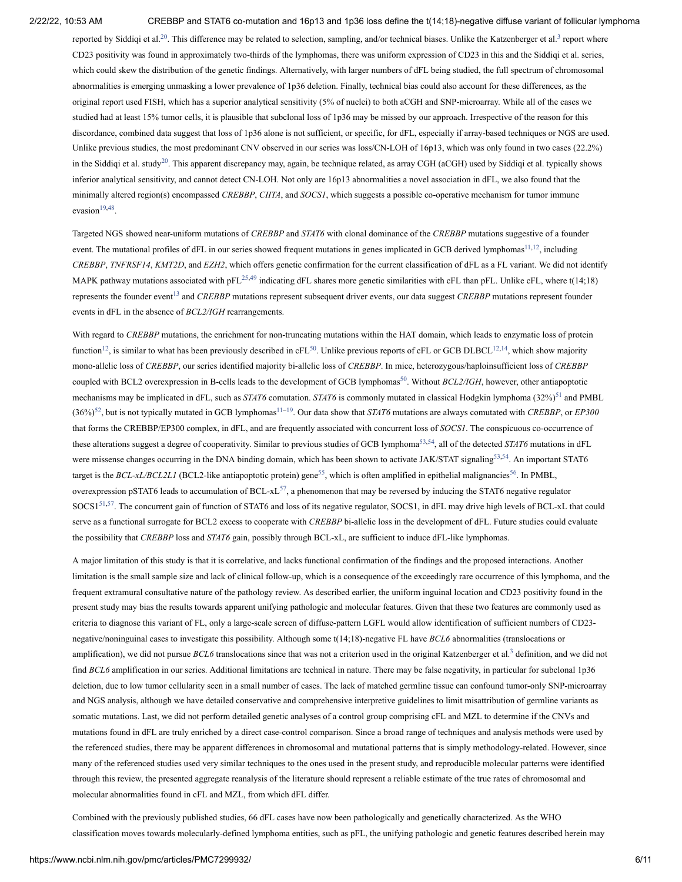reported by Siddiqi et al.<sup>[20](#page-10-1)</sup>. This difference may be related to selection, sampling, and/or technical biases. Unlike the Katzenberger et al.<sup>[3](#page-9-2)</sup> report where CD23 positivity was found in approximately two-thirds of the lymphomas, there was uniform expression of CD23 in this and the Siddiqi et al. series, which could skew the distribution of the genetic findings. Alternatively, with larger numbers of dFL being studied, the full spectrum of chromosomal abnormalities is emerging unmasking a lower prevalence of 1p36 deletion. Finally, technical bias could also account for these differences, as the original report used FISH, which has a superior analytical sensitivity (5% of nuclei) to both aCGH and SNP-microarray. While all of the cases we studied had at least 15% tumor cells, it is plausible that subclonal loss of 1p36 may be missed by our approach. Irrespective of the reason for this discordance, combined data suggest that loss of 1p36 alone is not sufficient, or specific, for dFL, especially if array-based techniques or NGS are used. Unlike previous studies, the most predominant CNV observed in our series was loss/CN-LOH of 16p13, which was only found in two cases (22.2%) in the Siddiqi et al. study<sup>[20](#page-10-1)</sup>. This apparent discrepancy may, again, be technique related, as array CGH (aCGH) used by Siddiqi et al. typically shows inferior analytical sensitivity, and cannot detect CN-LOH. Not only are 16p13 abnormalities a novel association in dFL, we also found that the minimally altered region(s) encompassed *CREBBP*, *CIITA*, and *SOCS1*, which suggests a possible co-operative mechanism for tumor immune  $evasion<sup>19,48</sup>$  $evasion<sup>19,48</sup>$  $evasion<sup>19,48</sup>$  $evasion<sup>19,48</sup>$ .

Targeted NGS showed near-uniform mutations of *CREBBP* and *STAT6* with clonal dominance of the *CREBBP* mutations suggestive of a founder event. The mutational profiles of dFL in our series showed frequent mutations in genes implicated in GCB derived lymphomas<sup>[11](#page-9-5)[,12](#page-9-7)</sup>, including *CREBBP*, *TNFRSF14*, *KMT2D*, and *EZH2*, which offers genetic confirmation for the current classification of dFL as a FL variant. We did not identify MAPK pathway mutations associated with  $pFL^{25,49}$  $pFL^{25,49}$  $pFL^{25,49}$  $pFL^{25,49}$  $pFL^{25,49}$  indicating dFL shares more genetic similarities with cFL than pFL. Unlike cFL, where t(14;18) represents the founder event<sup>[13](#page-9-8)</sup> and *CREBBP* mutations represent subsequent driver events, our data suggest *CREBBP* mutations represent founder events in dFL in the absence of *BCL2/IGH* rearrangements.

With regard to *CREBBP* mutations, the enrichment for non-truncating mutations within the HAT domain, which leads to enzymatic loss of protein function<sup>[12](#page-9-7)</sup>, is similar to what has been previously described in cFL<sup>[50](#page-11-9)</sup>. Unlike previous reports of cFL or GCB DLBCL<sup>12,[14](#page-9-6)</sup>, which show majority mono-allelic loss of *CREBBP*, our series identified majority bi-allelic loss of *CREBBP*. In mice, heterozygous/haploinsufficient loss of *CREBBP* coupled with BCL2 overexpression in B-cells leads to the development of GCB lymphomas<sup>[50](#page-11-9)</sup>. Without *BCL2/IGH*, however, other antiapoptotic mechanisms may be implicated in dFL, such as *STAT6* comutation. *STAT6* is commonly mutated in classical Hodgkin lymphoma (32%)<sup>[51](#page-11-10)</sup> and PMBL  $(36\%)^{52}$  $(36\%)^{52}$  $(36\%)^{52}$ , but is not typically mutated in GCB lymphomas<sup>[11](#page-9-5)[–19](#page-10-0)</sup>. Our data show that *STAT6* mutations are always comutated with *CREBBP*, or *EP300* that forms the CREBBP/EP300 complex, in dFL, and are frequently associated with concurrent loss of *SOCS1*. The conspicuous co-occurrence of these alterations suggest a degree of cooperativity. Similar to previous studies of GCB lymphoma<sup>[53,](#page-11-12)[54](#page-11-13)</sup>, all of the detected *STAT6* mutations in dFL were missense changes occurring in the DNA binding domain, which has been shown to activate JAK/STAT signaling<sup>[53,](#page-11-12)[54](#page-11-13)</sup>. An important STAT6 target is the *BCL-xL/BCL2L1* (BCL2-like antiapoptotic protein) gene<sup>[55](#page-11-14)</sup>, which is often amplified in epithelial malignancies<sup>[56](#page-11-15)</sup>. In PMBL, overexpression pSTAT6 leads to accumulation of BCL-xL<sup>[57](#page-12-0)</sup>, a phenomenon that may be reversed by inducing the STAT6 negative regulator  $SOCSI<sup>51,57</sup>$  $SOCSI<sup>51,57</sup>$  $SOCSI<sup>51,57</sup>$  $SOCSI<sup>51,57</sup>$ . The concurrent gain of function of STAT6 and loss of its negative regulator, SOCS1, in dFL may drive high levels of BCL-xL that could serve as a functional surrogate for BCL2 excess to cooperate with *CREBBP* bi-allelic loss in the development of dFL. Future studies could evaluate the possibility that *CREBBP* loss and *STAT6* gain, possibly through BCL-xL, are sufficient to induce dFL-like lymphomas.

A major limitation of this study is that it is correlative, and lacks functional confirmation of the findings and the proposed interactions. Another limitation is the small sample size and lack of clinical follow-up, which is a consequence of the exceedingly rare occurrence of this lymphoma, and the frequent extramural consultative nature of the pathology review. As described earlier, the uniform inguinal location and CD23 positivity found in the present study may bias the results towards apparent unifying pathologic and molecular features. Given that these two features are commonly used as criteria to diagnose this variant of FL, only a large-scale screen of diffuse-pattern LGFL would allow identification of sufficient numbers of CD23 negative/noninguinal cases to investigate this possibility. Although some t(14;18)-negative FL have *BCL6* abnormalities (translocations or amplification), we did not pursue *BCL6* translocations since that was not a criterion used in the original Katzenberger et al.<sup>[3](#page-9-2)</sup> definition, and we did not find *BCL6* amplification in our series. Additional limitations are technical in nature. There may be false negativity, in particular for subclonal 1p36 deletion, due to low tumor cellularity seen in a small number of cases. The lack of matched germline tissue can confound tumor-only SNP-microarray and NGS analysis, although we have detailed conservative and comprehensive interpretive guidelines to limit misattribution of germline variants as somatic mutations. Last, we did not perform detailed genetic analyses of a control group comprising cFL and MZL to determine if the CNVs and mutations found in dFL are truly enriched by a direct case-control comparison. Since a broad range of techniques and analysis methods were used by the referenced studies, there may be apparent differences in chromosomal and mutational patterns that is simply methodology-related. However, since many of the referenced studies used very similar techniques to the ones used in the present study, and reproducible molecular patterns were identified through this review, the presented aggregate reanalysis of the literature should represent a reliable estimate of the true rates of chromosomal and molecular abnormalities found in cFL and MZL, from which dFL differ.

Combined with the previously published studies, 66 dFL cases have now been pathologically and genetically characterized. As the WHO classification moves towards molecularly-defined lymphoma entities, such as pFL, the unifying pathologic and genetic features described herein may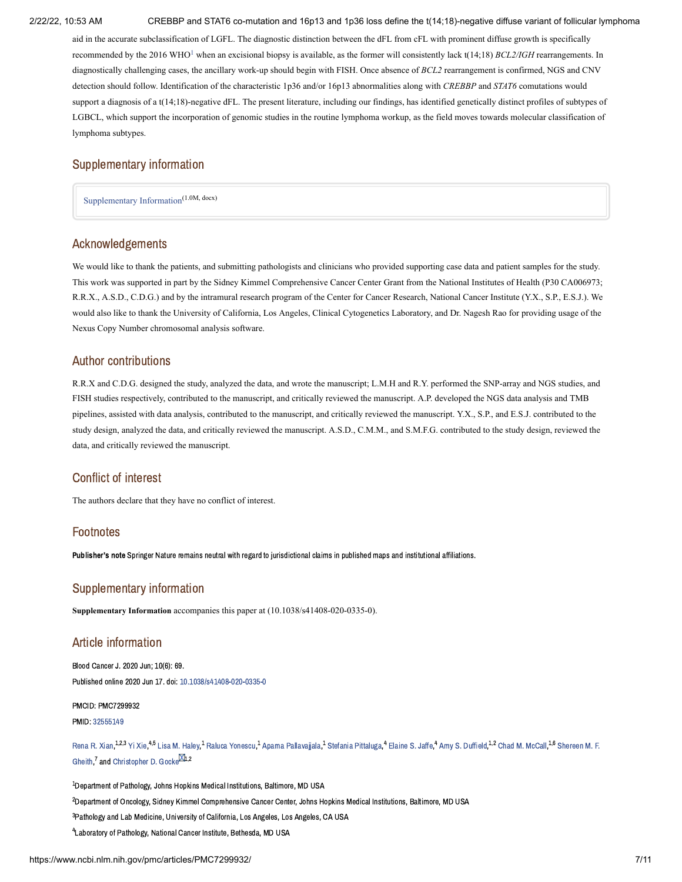aid in the accurate subclassification of LGFL. The diagnostic distinction between the dFL from cFL with prominent diffuse growth is specifically recommended by the 20[1](#page-9-0)6 WHO<sup>1</sup> when an excisional biopsy is available, as the former will consistently lack t(14;18) *BCL2/IGH* rearrangements. In diagnostically challenging cases, the ancillary work-up should begin with FISH. Once absence of *BCL2* rearrangement is confirmed, NGS and CNV detection should follow. Identification of the characteristic 1p36 and/or 16p13 abnormalities along with *CREBBP* and *STAT6* comutations would support a diagnosis of a t(14;18)-negative dFL. The present literature, including our findings, has identified genetically distinct profiles of subtypes of LGBCL, which support the incorporation of genomic studies in the routine lymphoma workup, as the field moves towards molecular classification of lymphoma subtypes.

## Supplementary information

<span id="page-8-0"></span>[Supplementary](https://www.ncbi.nlm.nih.gov/pmc/articles/PMC7299932/bin/41408_2020_335_MOESM1_ESM.docx) Information (1.0M, docx)

## Acknowledgements

We would like to thank the patients, and submitting pathologists and clinicians who provided supporting case data and patient samples for the study. This work was supported in part by the Sidney Kimmel Comprehensive Cancer Center Grant from the National Institutes of Health (P30 CA006973; R.R.X., A.S.D., C.D.G.) and by the intramural research program of the Center for Cancer Research, National Cancer Institute (Y.X., S.P., E.S.J.). We would also like to thank the University of California, Los Angeles, Clinical Cytogenetics Laboratory, and Dr. Nagesh Rao for providing usage of the Nexus Copy Number chromosomal analysis software.

## Author contributions

R.R.X and C.D.G. designed the study, analyzed the data, and wrote the manuscript; L.M.H and R.Y. performed the SNP-array and NGS studies, and FISH studies respectively, contributed to the manuscript, and critically reviewed the manuscript. A.P. developed the NGS data analysis and TMB pipelines, assisted with data analysis, contributed to the manuscript, and critically reviewed the manuscript. Y.X., S.P., and E.S.J. contributed to the study design, analyzed the data, and critically reviewed the manuscript. A.S.D., C.M.M., and S.M.F.G. contributed to the study design, reviewed the data, and critically reviewed the manuscript.

## Conflict of interest

The authors declare that they have no conflict of interest.

## Footnotes

Publisher's note Springer Nature remains neutral with regard to jurisdictional claims in published maps and institutional affiliations.

### Supplementary information

**Supplementary Information** accompanies this paper at (10.1038/s41408-020-0335-0).

## Article information

Blood Cancer J. 2020 Jun; 10(6): 69. Published online 2020 Jun 17. doi: [10.1038/s41408-020-0335-0](https://dx.doi.org/10.1038%2Fs41408-020-0335-0)

PMCID: PMC7299932

PMID: [32555149](https://www.ncbi.nlm.nih.gov/pubmed/32555149)

[Rena](https://www.ncbi.nlm.nih.gov/pubmed/?term=Xian%20RR%5BAuthor%5D&cauthor=true&cauthor_uid=32555149) R. Xian, <sup>1,2,3</sup> Yi [Xie](https://www.ncbi.nlm.nih.gov/pubmed/?term=Xie%20Y%5BAuthor%5D&cauthor=true&cauthor_uid=32555149), <sup>4,5</sup> Lisa M. [Haley,](https://www.ncbi.nlm.nih.gov/pubmed/?term=Haley%20LM%5BAuthor%5D&cauthor=true&cauthor_uid=32555149) <sup>1</sup> Raluca [Yonescu,](https://www.ncbi.nlm.nih.gov/pubmed/?term=Yonescu%20R%5BAuthor%5D&cauthor=true&cauthor_uid=32555149) <sup>1</sup> Aparna Pallavaiial[a,](https://www.ncbi.nlm.nih.gov/pubmed/?term=Gheith%20SM%5BAuthor%5D&cauthor=true&cauthor_uid=32555149) <sup>1</sup> Stefania [Pittaluga](https://www.ncbi.nlm.nih.gov/pubmed/?term=Pittaluga%20S%5BAuthor%5D&cauthor=true&cauthor_uid=32555149), <sup>4</sup> [Elaine](https://www.ncbi.nlm.nih.gov/pubmed/?term=Jaffe%20ES%5BAuthor%5D&cauthor=true&cauthor_uid=32555149) S. Jaffe, 4 Amy S. [Duffield,](https://www.ncbi.nlm.nih.gov/pubmed/?term=Duffield%20AS%5BAuthor%5D&cauthor=true&cauthor_uid=32555149) <sup>1,2</sup> Chad M. [McCall](https://www.ncbi.nlm.nih.gov/pubmed/?term=McCall%20CM%5BAuthor%5D&cauthor=true&cauthor_uid=32555149), <sup>1,6</sup> Shereen M. F. Gheith.<sup>7</sup> and [Christopher](https://www.ncbi.nlm.nih.gov/pubmed/?term=Gocke%20CD%5BAuthor%5D&cauthor=true&cauthor_uid=32555149) D. Gocke<sup>DCh,2</sup>

 $^{\rm 1}$ Department of Pathology, Johns Hopkins Medical Institutions, Baltimore, MD USA

<sup>2</sup>Department of Oncology, Sidney Kimmel Comprehensive Cancer Center, Johns Hopkins Medical Institutions, Baltimore, MD USA

<sup>3</sup> Pathology and Lab Medicine, University of California, Los Angeles, Los Angeles, CA USA

<sup>4</sup> Laboratory of Pathology, National Cancer Institute, Bethesda, MD USA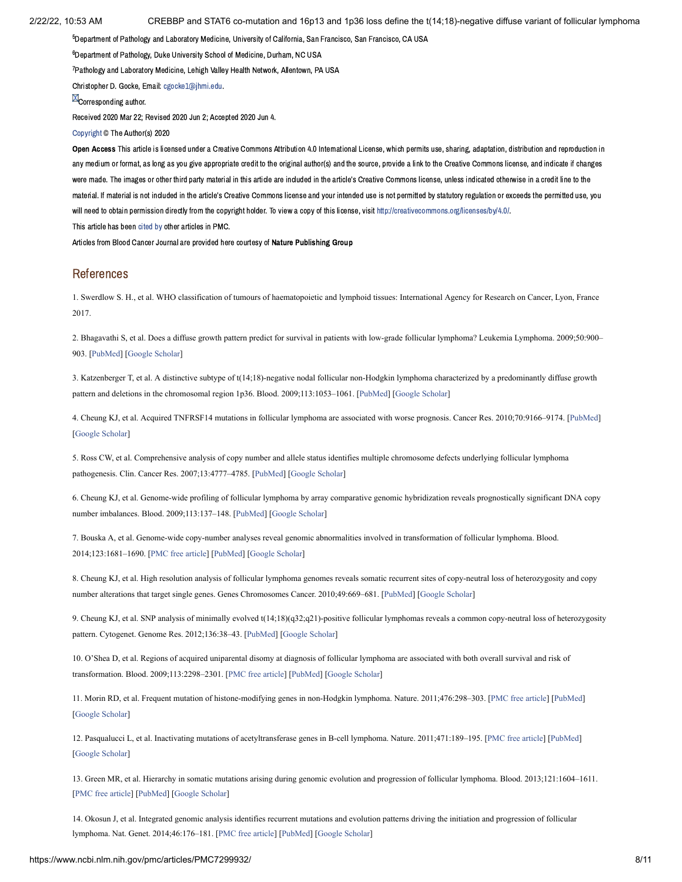$^5$ Department of Pathology and Laboratory Medicine, University of California, San Francisco, San Francisco, CA USA

 $^6$ Department of Pathology, Duke University School of Medicine, Durham, NC USA

<sup>7</sup> Pathology and Laboratory Medicine, Lehigh Valley Health Network, Allentown, PA USA

Christopher D. Gocke, Email: [cgocke1@jhmi.edu.](mailto:dev@null)

**M**Corresponding author.

Received 2020 Mar 22; Revised 2020 Jun 2; Accepted 2020 Jun 4.

[Copyright](https://www.ncbi.nlm.nih.gov/pmc/about/copyright/) © The Author(s) 2020

Open Access This article is licensed under a Creative Commons Attribution 4.0 International License, which permits use, sharing, adaptation, distribution and reproduction in any medium or format, as long as you give appropriate credit to the original author(s) and the source, provide a link to the Creative Commons license, and indicate if changes were made. The images or other third party material in this article are included in the article's Creative Commons license, unless indicated otherwise in a credit line to the material. If material is not included in the article's Creative Commons license and your intended use is not permitted by statutory regulation or exceeds the permitted use, you will need to obtain permission directly from the copyright holder. To view a copy of this license, visit <http://creativecommons.org/licenses/by/4.0/>.

This article has been [cited](https://www.ncbi.nlm.nih.gov/pmc/articles/PMC7299932/citedby/) by other articles in PMC.

Articles from Blood Cancer Journal are provided here courtesy of Nature Publishing Group

## References

<span id="page-9-0"></span>1. Swerdlow S. H., et al. WHO classification of tumours of haematopoietic and lymphoid tissues: International Agency for Research on Cancer, Lyon, France 2017.

<span id="page-9-1"></span>2. Bhagavathi S, et al. Does a diffuse growth pattern predict for survival in patients with low-grade follicular lymphoma? Leukemia Lymphoma. 2009;50:900– 903. [\[PubMed\]](https://www.ncbi.nlm.nih.gov/pubmed/19504394) [\[Google Scholar\]](https://scholar.google.com/scholar_lookup?journal=Leukemia+Lymphoma&title=Does+a+diffuse+growth+pattern+predict+for+survival+in+patients+with+low-grade+follicular+lymphoma?&author=S+Bhagavathi&volume=50&publication_year=2009&pages=900-903&pmid=19504394&)

<span id="page-9-2"></span>3. Katzenberger T, et al. A distinctive subtype of t(14;18)-negative nodal follicular non-Hodgkin lymphoma characterized by a predominantly diffuse growth pattern and deletions in the chromosomal region 1p36. Blood. 2009;113:1053–1061. [[PubMed](https://www.ncbi.nlm.nih.gov/pubmed/18978208)] [\[Google Scholar\]](https://scholar.google.com/scholar_lookup?journal=Blood&title=A+distinctive+subtype+of+t(14;18)-negative+nodal+follicular+non-Hodgkin+lymphoma+characterized+by+a+predominantly+diffuse+growth+pattern+and+deletions+in+the+chromosomal+region+1p36&author=T+Katzenberger&volume=113&publication_year=2009&pages=1053-1061&pmid=18978208&)

<span id="page-9-3"></span>4. Cheung KJ, et al. Acquired TNFRSF14 mutations in follicular lymphoma are associated with worse prognosis. Cancer Res. 2010;70:9166–9174. [[PubMed\]](https://www.ncbi.nlm.nih.gov/pubmed/20884631) [\[Google Scholar](https://scholar.google.com/scholar_lookup?journal=Cancer+Res.&title=Acquired+TNFRSF14+mutations+in+follicular+lymphoma+are+associated+with+worse+prognosis&author=KJ+Cheung&volume=70&publication_year=2010&pages=9166-9174&pmid=20884631&)]

5. Ross CW, et al. Comprehensive analysis of copy number and allele status identifies multiple chromosome defects underlying follicular lymphoma pathogenesis. Clin. Cancer Res. 2007;13:4777–4785. [[PubMed](https://www.ncbi.nlm.nih.gov/pubmed/17699855)] [[Google Scholar](https://scholar.google.com/scholar_lookup?journal=Clin.+Cancer+Res.&title=Comprehensive+analysis+of+copy+number+and+allele+status+identifies+multiple+chromosome+defects+underlying+follicular+lymphoma+pathogenesis&author=CW+Ross&volume=13&publication_year=2007&pages=4777-4785&pmid=17699855&)]

6. Cheung KJ, et al. Genome-wide profiling of follicular lymphoma by array comparative genomic hybridization reveals prognostically significant DNA copy number imbalances. Blood. 2009;113:137–148. [[PubMed\]](https://www.ncbi.nlm.nih.gov/pubmed/18703704) [\[Google Scholar](https://scholar.google.com/scholar_lookup?journal=Blood&title=Genome-wide+profiling+of+follicular+lymphoma+by+array+comparative+genomic+hybridization+reveals+prognostically+significant+DNA+copy+number+imbalances&author=KJ+Cheung&volume=113&publication_year=2009&pages=137-148&pmid=18703704&)]

7. Bouska A, et al. Genome-wide copy-number analyses reveal genomic abnormalities involved in transformation of follicular lymphoma. Blood. 2014;123:1681–1690. [[PMC free article\]](https://www.ncbi.nlm.nih.gov/pmc/articles/PMC3954050/?report=reader) [\[PubMed\]](https://www.ncbi.nlm.nih.gov/pubmed/24037725) [[Google Scholar](https://scholar.google.com/scholar_lookup?journal=Blood&title=Genome-wide+copy-number+analyses+reveal+genomic+abnormalities+involved+in+transformation+of+follicular+lymphoma&author=A+Bouska&volume=123&publication_year=2014&pages=1681-1690&pmid=24037725&)]

8. Cheung KJ, et al. High resolution analysis of follicular lymphoma genomes reveals somatic recurrent sites of copy-neutral loss of heterozygosity and copy number alterations that target single genes. Genes Chromosomes Cancer. 2010;49:669–681. [[PubMed](https://www.ncbi.nlm.nih.gov/pubmed/20544841)] [\[Google Scholar](https://scholar.google.com/scholar_lookup?journal=Genes+Chromosomes+Cancer&title=High+resolution+analysis+of+follicular+lymphoma+genomes+reveals+somatic+recurrent+sites+of+copy-neutral+loss+of+heterozygosity+and+copy+number+alterations+that+target+single+genes&author=KJ+Cheung&volume=49&publication_year=2010&pages=669-681&pmid=20544841&)]

9. Cheung KJ, et al. SNP analysis of minimally evolved t(14;18)(q32;q21)-positive follicular lymphomas reveals a common copy-neutral loss of heterozygosity pattern. Cytogenet. Genome Res. 2012;136:38–43. [[PubMed](https://www.ncbi.nlm.nih.gov/pubmed/22104078)] [\[Google Scholar\]](https://scholar.google.com/scholar_lookup?journal=Cytogenet.+Genome+Res.&title=SNP+analysis+of+minimally+evolved+t(14;18)(q32;q21)-positive+follicular+lymphomas+reveals+a+common+copy-neutral+loss+of+heterozygosity+pattern&author=KJ+Cheung&volume=136&publication_year=2012&pages=38-43&pmid=22104078&)

<span id="page-9-4"></span>10. O'Shea D, et al. Regions of acquired uniparental disomy at diagnosis of follicular lymphoma are associated with both overall survival and risk of transformation. Blood. 2009;113:2298–2301. [\[PMC free article](https://www.ncbi.nlm.nih.gov/pmc/articles/PMC2652373/?report=reader)] [[PubMed](https://www.ncbi.nlm.nih.gov/pubmed/19141865)] [\[Google Scholar](https://scholar.google.com/scholar_lookup?journal=Blood&title=Regions+of+acquired+uniparental+disomy+at+diagnosis+of+follicular+lymphoma+are+associated+with+both+overall+survival+and+risk+of+transformation&author=D+O%E2%80%99Shea&volume=113&publication_year=2009&pages=2298-2301&pmid=19141865&)]

<span id="page-9-5"></span>11. Morin RD, et al. Frequent mutation of histone-modifying genes in non-Hodgkin lymphoma. Nature. 2011;476:298–303. [[PMC free article\]](https://www.ncbi.nlm.nih.gov/pmc/articles/PMC3210554/?report=reader) [[PubMed](https://www.ncbi.nlm.nih.gov/pubmed/21796119)] [\[Google Scholar](https://scholar.google.com/scholar_lookup?journal=Nature&title=Frequent+mutation+of+histone-modifying+genes+in+non-Hodgkin+lymphoma&author=RD+Morin&volume=476&publication_year=2011&pages=298-303&pmid=21796119&)]

<span id="page-9-7"></span>12. Pasqualucci L, et al. Inactivating mutations of acetyltransferase genes in B-cell lymphoma. Nature. 2011;471:189–195. [[PMC free article\]](https://www.ncbi.nlm.nih.gov/pmc/articles/PMC3271441/?report=reader) [[PubMed\]](https://www.ncbi.nlm.nih.gov/pubmed/21390126) [\[Google Scholar](https://scholar.google.com/scholar_lookup?journal=Nature&title=Inactivating+mutations+of+acetyltransferase+genes+in+B-cell+lymphoma&author=L+Pasqualucci&volume=471&publication_year=2011&pages=189-195&pmid=21390126&)]

<span id="page-9-8"></span>13. Green MR, et al. Hierarchy in somatic mutations arising during genomic evolution and progression of follicular lymphoma. Blood. 2013;121:1604–1611. [\[PMC free article\]](https://www.ncbi.nlm.nih.gov/pmc/articles/PMC3587323/?report=reader) [\[PubMed\]](https://www.ncbi.nlm.nih.gov/pubmed/23297126) [\[Google Scholar\]](https://scholar.google.com/scholar_lookup?journal=Blood&title=Hierarchy+in+somatic+mutations+arising+during+genomic+evolution+and+progression+of+follicular+lymphoma&author=MR+Green&volume=121&publication_year=2013&pages=1604-1611&pmid=23297126&)

<span id="page-9-6"></span>14. Okosun J, et al. Integrated genomic analysis identifies recurrent mutations and evolution patterns driving the initiation and progression of follicular lymphoma. Nat. Genet. 2014;46:176–181. [\[PMC free article](https://www.ncbi.nlm.nih.gov/pmc/articles/PMC3907271/?report=reader)] [\[PubMed\]](https://www.ncbi.nlm.nih.gov/pubmed/24362818) [[Google Scholar](https://scholar.google.com/scholar_lookup?journal=Nat.+Genet.&title=Integrated+genomic+analysis+identifies+recurrent+mutations+and+evolution+patterns+driving+the+initiation+and+progression+of+follicular+lymphoma&author=J+Okosun&volume=46&publication_year=2014&pages=176-181&pmid=24362818&)]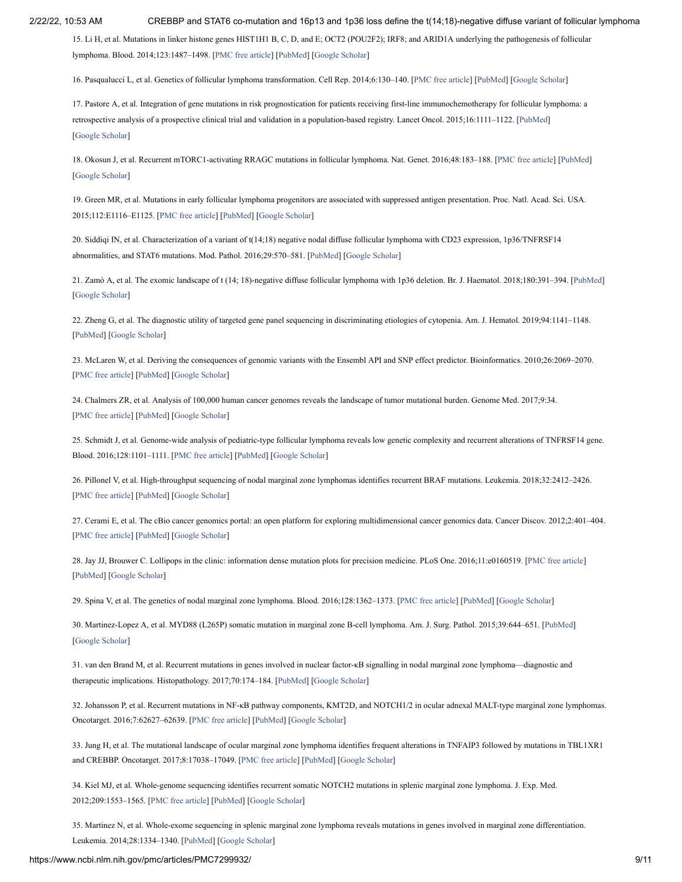15. Li H, et al. Mutations in linker histone genes HIST1H1 B, C, D, and E; OCT2 (POU2F2); IRF8; and ARID1A underlying the pathogenesis of follicular lymphoma. Blood. 2014;123:1487–1498. [\[PMC free article\]](https://www.ncbi.nlm.nih.gov/pmc/articles/PMC4729540/?report=reader) [\[PubMed\]](https://www.ncbi.nlm.nih.gov/pubmed/24435047) [\[Google Scholar](https://scholar.google.com/scholar_lookup?journal=Blood&title=Mutations+in+linker+histone+genes+HIST1H1+B,+C,+D,+and+E;+OCT2+(POU2F2);+IRF8;+and+ARID1A+underlying+the+pathogenesis+of+follicular+lymphoma&author=H+Li&volume=123&publication_year=2014&pages=1487-1498&pmid=24435047&)]

16. Pasqualucci L, et al. Genetics of follicular lymphoma transformation. Cell Rep. 2014;6:130–140. [[PMC free article\]](https://www.ncbi.nlm.nih.gov/pmc/articles/PMC4100800/?report=reader) [[PubMed](https://www.ncbi.nlm.nih.gov/pubmed/24388756)] [[Google Scholar](https://scholar.google.com/scholar_lookup?journal=Cell+Rep.&title=Genetics+of+follicular+lymphoma+transformation&author=L+Pasqualucci&volume=6&publication_year=2014&pages=130-140&pmid=24388756&)]

17. Pastore A, et al. Integration of gene mutations in risk prognostication for patients receiving first-line immunochemotherapy for follicular lymphoma: a retrospective analysis of a prospective clinical trial and validation in a population-based registry. Lancet Oncol. 2015;16:1111–1122. [\[PubMed\]](https://www.ncbi.nlm.nih.gov/pubmed/26256760) [\[Google Scholar](https://scholar.google.com/scholar_lookup?journal=Lancet+Oncol.&title=Integration+of+gene+mutations+in+risk+prognostication+for+patients+receiving+first-line+immunochemotherapy+for+follicular+lymphoma:+a+retrospective+analysis+of+a+prospective+clinical+trial+and+validation+in+a+population-based+registry&author=A+Pastore&volume=16&publication_year=2015&pages=1111-1122&pmid=26256760&)]

18. Okosun J, et al. Recurrent mTORC1-activating RRAGC mutations in follicular lymphoma. Nat. Genet. 2016;48:183–188. [[PMC free article\]](https://www.ncbi.nlm.nih.gov/pmc/articles/PMC4731318/?report=reader) [[PubMed](https://www.ncbi.nlm.nih.gov/pubmed/26691987)] [\[Google Scholar](https://scholar.google.com/scholar_lookup?journal=Nat.+Genet.&title=Recurrent+mTORC1-activating+RRAGC+mutations+in+follicular+lymphoma&author=J+Okosun&volume=48&publication_year=2016&pages=183-188&pmid=26691987&)]

<span id="page-10-0"></span>19. Green MR, et al. Mutations in early follicular lymphoma progenitors are associated with suppressed antigen presentation. Proc. Natl. Acad. Sci. USA. 2015;112:E1116–E1125. [[PMC free article](https://www.ncbi.nlm.nih.gov/pmc/articles/PMC4364211/?report=reader)] [\[PubMed\]](https://www.ncbi.nlm.nih.gov/pubmed/25713363) [\[Google Scholar\]](https://scholar.google.com/scholar_lookup?journal=Proc.+Natl.+Acad.+Sci.+USA&title=Mutations+in+early+follicular+lymphoma+progenitors+are+associated+with+suppressed+antigen+presentation&author=MR+Green&volume=112&publication_year=2015&pages=E1116-E1125&pmid=25713363&)

<span id="page-10-1"></span>20. Siddiqi IN, et al. Characterization of a variant of t(14;18) negative nodal diffuse follicular lymphoma with CD23 expression, 1p36/TNFRSF14 abnormalities, and STAT6 mutations. Mod. Pathol. 2016;29:570–581. [[PubMed\]](https://www.ncbi.nlm.nih.gov/pubmed/26965583) [[Google Scholar\]](https://scholar.google.com/scholar_lookup?journal=Mod.+Pathol.&title=Characterization+of+a+variant+of+t(14;18)+negative+nodal+diffuse+follicular+lymphoma+with+CD23+expression,+1p36/TNFRSF14+abnormalities,+and+STAT6+mutations&author=IN+Siddiqi&volume=29&publication_year=2016&pages=570-581&pmid=26965583&)

<span id="page-10-2"></span>21. Zamò A, et al. The exomic landscape of t (14; 18)‐negative diffuse follicular lymphoma with 1p36 deletion. Br. J. Haematol. 2018;180:391–394. [\[PubMed](https://www.ncbi.nlm.nih.gov/pubmed/29193015)] [\[Google Scholar](https://scholar.google.com/scholar_lookup?journal=Br.+J.+Haematol.&title=The+exomic+landscape+of+t+(14;+18)%E2%80%90negative+diffuse+follicular+lymphoma+with+1p36+deletion&author=A+Zam%C3%B2&volume=180&publication_year=2018&pages=391-394&pmid=29193015&)]

<span id="page-10-3"></span>22. Zheng G, et al. The diagnostic utility of targeted gene panel sequencing in discriminating etiologies of cytopenia. Am. J. Hematol. 2019;94:1141–1148. [\[PubMed\]](https://www.ncbi.nlm.nih.gov/pubmed/31350794) [[Google Scholar\]](https://scholar.google.com/scholar_lookup?journal=Am.+J.+Hematol.&title=The+diagnostic+utility+of+targeted+gene+panel+sequencing+in+discriminating+etiologies+of+cytopenia&author=G+Zheng&volume=94&publication_year=2019&pages=1141-1148&pmid=31350794&)

<span id="page-10-4"></span>23. McLaren W, et al. Deriving the consequences of genomic variants with the Ensembl API and SNP effect predictor. Bioinformatics. 2010;26:2069–2070. [\[PMC free article\]](https://www.ncbi.nlm.nih.gov/pmc/articles/PMC2916720/?report=reader) [\[PubMed\]](https://www.ncbi.nlm.nih.gov/pubmed/20562413) [\[Google Scholar\]](https://scholar.google.com/scholar_lookup?journal=Bioinformatics&title=Deriving+the+consequences+of+genomic+variants+with+the+Ensembl+API+and+SNP+effect+predictor&author=W+McLaren&volume=26&publication_year=2010&pages=2069-2070&pmid=20562413&)

<span id="page-10-5"></span>24. Chalmers ZR, et al. Analysis of 100,000 human cancer genomes reveals the landscape of tumor mutational burden. Genome Med. 2017;9:34. [\[PMC free article\]](https://www.ncbi.nlm.nih.gov/pmc/articles/PMC5395719/?report=reader) [\[PubMed\]](https://www.ncbi.nlm.nih.gov/pubmed/28420421) [\[Google Scholar\]](https://scholar.google.com/scholar_lookup?journal=Genome+Med.&title=Analysis+of+100,000+human+cancer+genomes+reveals+the+landscape+of+tumor+mutational+burden&author=ZR+Chalmers&volume=9&publication_year=2017&pages=34&pmid=28420421&)

<span id="page-10-6"></span>25. Schmidt J, et al. Genome-wide analysis of pediatric-type follicular lymphoma reveals low genetic complexity and recurrent alterations of TNFRSF14 gene. Blood. 2016;128:1101–1111. [\[PMC free article](https://www.ncbi.nlm.nih.gov/pmc/articles/PMC5000845/?report=reader)] [[PubMed\]](https://www.ncbi.nlm.nih.gov/pubmed/27257180) [[Google Scholar](https://scholar.google.com/scholar_lookup?journal=Blood&title=Genome-wide+analysis+of+pediatric-type+follicular+lymphoma+reveals+low+genetic+complexity+and+recurrent+alterations+of+TNFRSF14+gene&author=J+Schmidt&volume=128&publication_year=2016&pages=1101-1111&pmid=27257180&)]

<span id="page-10-7"></span>26. Pillonel V, et al. High-throughput sequencing of nodal marginal zone lymphomas identifies recurrent BRAF mutations. Leukemia. 2018;32:2412–2426. [\[PMC free article\]](https://www.ncbi.nlm.nih.gov/pmc/articles/PMC6224405/?report=reader) [\[PubMed\]](https://www.ncbi.nlm.nih.gov/pubmed/29556019) [\[Google Scholar\]](https://scholar.google.com/scholar_lookup?journal=Leukemia&title=High-throughput+sequencing+of+nodal+marginal+zone+lymphomas+identifies+recurrent+BRAF+mutations&author=V+Pillonel&volume=32&publication_year=2018&pages=2412-2426&pmid=29556019&)

<span id="page-10-8"></span>27. Cerami E, et al. The cBio cancer genomics portal: an open platform for exploring multidimensional cancer genomics data. Cancer Discov. 2012;2:401–404. [\[PMC free article\]](https://www.ncbi.nlm.nih.gov/pmc/articles/PMC3956037/?report=reader) [\[PubMed\]](https://www.ncbi.nlm.nih.gov/pubmed/22588877) [\[Google Scholar\]](https://scholar.google.com/scholar_lookup?journal=Cancer+Discov.&title=The+cBio+cancer+genomics+portal:+an+open+platform+for+exploring+multidimensional+cancer+genomics+data&author=E+Cerami&volume=2&publication_year=2012&pages=401-404&pmid=22588877&)

<span id="page-10-9"></span>28. Jay JJ, Brouwer C. Lollipops in the clinic: information dense mutation plots for precision medicine. PLoS One. 2016;11:e0160519. [\[PMC free article\]](https://www.ncbi.nlm.nih.gov/pmc/articles/PMC4973895/?report=reader) [\[PubMed\]](https://www.ncbi.nlm.nih.gov/pubmed/27490490) [[Google Scholar\]](https://scholar.google.com/scholar_lookup?journal=PLoS+One.&title=Lollipops+in+the+clinic:+information+dense+mutation+plots+for+precision+medicine&author=JJ+Jay&author=C+Brouwer&volume=11&publication_year=2016&pages=e0160519&pmid=27490490&)

<span id="page-10-10"></span>29. Spina V, et al. The genetics of nodal marginal zone lymphoma. Blood. 2016;128:1362–1373. [\[PMC free article](https://www.ncbi.nlm.nih.gov/pmc/articles/PMC5016706/?report=reader)] [\[PubMed\]](https://www.ncbi.nlm.nih.gov/pubmed/27335277) [\[Google Scholar](https://scholar.google.com/scholar_lookup?journal=Blood&title=The+genetics+of+nodal+marginal+zone+lymphoma&author=V+Spina&volume=128&publication_year=2016&pages=1362-1373&pmid=27335277&)]

30. Martinez-Lopez A, et al. MYD88 (L265P) somatic mutation in marginal zone B-cell lymphoma. Am. J. Surg. Pathol. 2015;39:644–651. [[PubMed\]](https://www.ncbi.nlm.nih.gov/pubmed/25723115) [\[Google Scholar](https://scholar.google.com/scholar_lookup?journal=Am.+J.+Surg.+Pathol.&title=MYD88+(L265P)+somatic+mutation+in+marginal+zone+B-cell+lymphoma&author=A+Martinez-Lopez&volume=39&publication_year=2015&pages=644-651&pmid=25723115&)]

31. van den Brand M, et al. Recurrent mutations in genes involved in nuclear factor- $\kappa$ B signalling in nodal marginal zone lymphoma—diagnostic and therapeutic implications. Histopathology. 2017;70:174–184. [[PubMed](https://www.ncbi.nlm.nih.gov/pubmed/27297871)] [[Google Scholar\]](https://scholar.google.com/scholar_lookup?journal=Histopathology&title=Recurrent+mutations+in+genes+involved+in+nuclear+factor%E2%80%90%CE%BAB+signalling+in+nodal+marginal+zone+lymphoma%E2%80%94diagnostic+and+therapeutic+implications&author=M+van+den+Brand&volume=70&publication_year=2017&pages=174-184&pmid=27297871&)

32. Johansson P, et al. Recurrent mutations in NF-KB pathway components, KMT2D, and NOTCH1/2 in ocular adnexal MALT-type marginal zone lymphomas. Oncotarget. 2016;7:62627–62639. [\[PMC free article](https://www.ncbi.nlm.nih.gov/pmc/articles/PMC5308752/?report=reader)] [\[PubMed\]](https://www.ncbi.nlm.nih.gov/pubmed/27566587) [[Google Scholar](https://scholar.google.com/scholar_lookup?journal=Oncotarget&title=Recurrent+mutations+in+NF-%CE%BAB+pathway+components,+KMT2D,+and+NOTCH1/2+in+ocular+adnexal+MALT-type+marginal+zone+lymphomas&author=P+Johansson&volume=7&publication_year=2016&pages=62627-62639&pmid=27566587&)]

33. Jung H, et al. The mutational landscape of ocular marginal zone lymphoma identifies frequent alterations in TNFAIP3 followed by mutations in TBL1XR1 and CREBBP. Oncotarget. 2017;8:17038–17049. [\[PMC free article\]](https://www.ncbi.nlm.nih.gov/pmc/articles/PMC5370020/?report=reader) [[PubMed\]](https://www.ncbi.nlm.nih.gov/pubmed/28152507) [[Google Scholar\]](https://scholar.google.com/scholar_lookup?journal=Oncotarget&title=The+mutational+landscape+of+ocular+marginal+zone+lymphoma+identifies+frequent+alterations+in+TNFAIP3+followed+by+mutations+in+TBL1XR1+and+CREBBP&author=H+Jung&volume=8&publication_year=2017&pages=17038-17049&pmid=28152507&)

34. Kiel MJ, et al. Whole-genome sequencing identifies recurrent somatic NOTCH2 mutations in splenic marginal zone lymphoma. J. Exp. Med. 2012;209:1553–1565. [[PMC free article\]](https://www.ncbi.nlm.nih.gov/pmc/articles/PMC3428949/?report=reader) [\[PubMed\]](https://www.ncbi.nlm.nih.gov/pubmed/22891276) [[Google Scholar](https://scholar.google.com/scholar_lookup?journal=J.+Exp.+Med.&title=Whole-genome+sequencing+identifies+recurrent+somatic+NOTCH2+mutations+in+splenic+marginal+zone+lymphoma&author=MJ+Kiel&volume=209&publication_year=2012&pages=1553-1565&pmid=22891276&)]

35. Martinez N, et al. Whole-exome sequencing in splenic marginal zone lymphoma reveals mutations in genes involved in marginal zone differentiation. Leukemia. 2014;28:1334–1340. [[PubMed\]](https://www.ncbi.nlm.nih.gov/pubmed/24296945) [[Google Scholar](https://scholar.google.com/scholar_lookup?journal=Leukemia&title=Whole-exome+sequencing+in+splenic+marginal+zone+lymphoma+reveals+mutations+in+genes+involved+in+marginal+zone+differentiation&author=N+Martinez&volume=28&publication_year=2014&pages=1334-1340&pmid=24296945&)]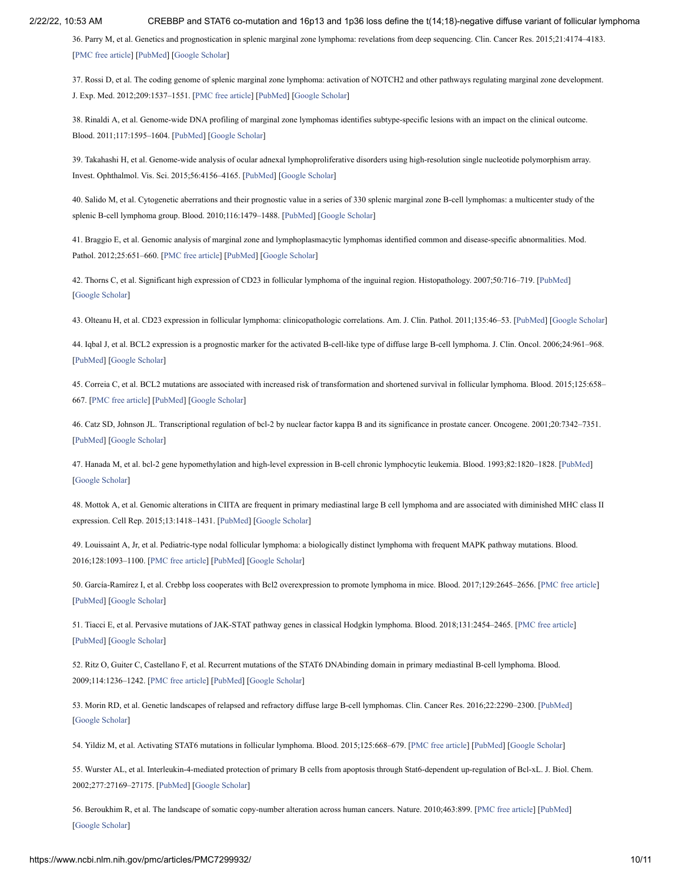36. Parry M, et al. Genetics and prognostication in splenic marginal zone lymphoma: revelations from deep sequencing. Clin. Cancer Res. 2015;21:4174–4183. [\[PMC free article\]](https://www.ncbi.nlm.nih.gov/pmc/articles/PMC4490180/?report=reader) [\[PubMed\]](https://www.ncbi.nlm.nih.gov/pubmed/25779943) [\[Google Scholar\]](https://scholar.google.com/scholar_lookup?journal=Clin.+Cancer+Res.&title=Genetics+and+prognostication+in+splenic+marginal+zone+lymphoma:+revelations+from+deep+sequencing&author=M+Parry&volume=21&publication_year=2015&pages=4174-4183&pmid=25779943&)

37. Rossi D, et al. The coding genome of splenic marginal zone lymphoma: activation of NOTCH2 and other pathways regulating marginal zone development. J. Exp. Med. 2012;209:1537–1551. [\[PMC free article\]](https://www.ncbi.nlm.nih.gov/pmc/articles/PMC3428941/?report=reader) [\[PubMed\]](https://www.ncbi.nlm.nih.gov/pubmed/22891273) [\[Google Scholar\]](https://scholar.google.com/scholar_lookup?journal=J.+Exp.+Med.&title=The+coding+genome+of+splenic+marginal+zone+lymphoma:+activation+of+NOTCH2+and+other+pathways+regulating+marginal+zone+development&author=D+Rossi&volume=209&publication_year=2012&pages=1537-1551&pmid=22891273&)

38. Rinaldi A, et al. Genome-wide DNA profiling of marginal zone lymphomas identifies subtype-specific lesions with an impact on the clinical outcome. Blood. 2011;117:1595–1604. [[PubMed](https://www.ncbi.nlm.nih.gov/pubmed/21115979)] [[Google Scholar](https://scholar.google.com/scholar_lookup?journal=Blood&title=Genome-wide+DNA+profiling+of+marginal+zone+lymphomas+identifies+subtype-specific+lesions+with+an+impact+on+the+clinical+outcome&author=A+Rinaldi&volume=117&publication_year=2011&pages=1595-1604&pmid=21115979&)]

39. Takahashi H, et al. Genome-wide analysis of ocular adnexal lymphoproliferative disorders using high-resolution single nucleotide polymorphism array. Invest. Ophthalmol. Vis. Sci. 2015;56:4156–4165. [\[PubMed\]](https://www.ncbi.nlm.nih.gov/pubmed/26120819) [\[Google Scholar\]](https://scholar.google.com/scholar_lookup?journal=Invest.+Ophthalmol.+Vis.+Sci.&title=Genome-wide+analysis+of+ocular+adnexal+lymphoproliferative+disorders+using+high-resolution+single+nucleotide+polymorphism+array&author=H+Takahashi&volume=56&publication_year=2015&pages=4156-4165&pmid=26120819&)

40. Salido M, et al. Cytogenetic aberrations and their prognostic value in a series of 330 splenic marginal zone B-cell lymphomas: a multicenter study of the splenic B-cell lymphoma group. Blood. 2010;116:1479–1488. [[PubMed](https://www.ncbi.nlm.nih.gov/pubmed/20479288)] [[Google Scholar\]](https://scholar.google.com/scholar_lookup?journal=Blood&title=Cytogenetic+aberrations+and+their+prognostic+value+in+a+series+of+330+splenic+marginal+zone+B-cell+lymphomas:+a+multicenter+study+of+the+splenic+B-cell+lymphoma+group&author=M+Salido&volume=116&publication_year=2010&pages=1479-1488&pmid=20479288&)

<span id="page-11-0"></span>41. Braggio E, et al. Genomic analysis of marginal zone and lymphoplasmacytic lymphomas identified common and disease-specific abnormalities. Mod. Pathol. 2012;25:651–660. [\[PMC free article](https://www.ncbi.nlm.nih.gov/pmc/articles/PMC3341516/?report=reader)] [[PubMed](https://www.ncbi.nlm.nih.gov/pubmed/22301699)] [\[Google Scholar](https://scholar.google.com/scholar_lookup?journal=Mod.+Pathol.&title=Genomic+analysis+of+marginal+zone+and+lymphoplasmacytic+lymphomas+identified+common+and+disease-specific+abnormalities&author=E+Braggio&volume=25&publication_year=2012&pages=651-660&pmid=22301699&)]

<span id="page-11-1"></span>42. Thorns C, et al. Significant high expression of CD23 in follicular lymphoma of the inguinal region. Histopathology. 2007;50:716–719. [[PubMed](https://www.ncbi.nlm.nih.gov/pubmed/17493235)] [\[Google Scholar](https://scholar.google.com/scholar_lookup?journal=Histopathology.&title=Significant+high+expression+of+CD23+in+follicular+lymphoma+of+the+inguinal+region&author=C+Thorns&volume=50&publication_year=2007&pages=716-719&pmid=17493235&)]

<span id="page-11-2"></span>43. Olteanu H, et al. CD23 expression in follicular lymphoma: clinicopathologic correlations. Am. J. Clin. Pathol. 2011;135:46–53. [[PubMed\]](https://www.ncbi.nlm.nih.gov/pubmed/21173123) [\[Google Scholar\]](https://scholar.google.com/scholar_lookup?journal=Am.+J.+Clin.+Pathol.&title=CD23+expression+in+follicular+lymphoma:+clinicopathologic+correlations&author=H+Olteanu&volume=135&publication_year=2011&pages=46-53&pmid=21173123&)

<span id="page-11-3"></span>44. Iqbal J, et al. BCL2 expression is a prognostic marker for the activated B-cell-like type of diffuse large B-cell lymphoma. J. Clin. Oncol. 2006;24:961–968. [\[PubMed\]](https://www.ncbi.nlm.nih.gov/pubmed/16418494) [[Google Scholar\]](https://scholar.google.com/scholar_lookup?journal=J.+Clin.+Oncol.&title=BCL2+expression+is+a+prognostic+marker+for+the+activated+B-cell-like+type+of+diffuse+large+B-cell+lymphoma&author=J+Iqbal&volume=24&publication_year=2006&pages=961-968&pmid=16418494&)

<span id="page-11-4"></span>45. Correia C, et al. BCL2 mutations are associated with increased risk of transformation and shortened survival in follicular lymphoma. Blood. 2015;125:658– 667. [\[PMC free article](https://www.ncbi.nlm.nih.gov/pmc/articles/PMC4304111/?report=reader)] [\[PubMed\]](https://www.ncbi.nlm.nih.gov/pubmed/25452615) [[Google Scholar\]](https://scholar.google.com/scholar_lookup?journal=Blood&title=BCL2+mutations+are+associated+with+increased+risk+of+transformation+and+shortened+survival+in+follicular+lymphoma&author=C+Correia&volume=125&publication_year=2015&pages=658-667&pmid=25452615&)

<span id="page-11-5"></span>46. Catz SD, Johnson JL. Transcriptional regulation of bcl-2 by nuclear factor kappa B and its significance in prostate cancer. Oncogene. 2001;20:7342–7351. [\[PubMed\]](https://www.ncbi.nlm.nih.gov/pubmed/11704864) [[Google Scholar\]](https://scholar.google.com/scholar_lookup?journal=Oncogene&title=Transcriptional+regulation+of+bcl-2+by+nuclear+factor+kappa+B+and+its+significance+in+prostate+cancer&author=SD+Catz&author=JL+Johnson&volume=20&publication_year=2001&pages=7342-7351&pmid=11704864&)

<span id="page-11-6"></span>47. Hanada M, et al. bcl-2 gene hypomethylation and high-level expression in B-cell chronic lymphocytic leukemia. Blood. 1993;82:1820–1828. [\[PubMed\]](https://www.ncbi.nlm.nih.gov/pubmed/8104532) [\[Google Scholar](https://scholar.google.com/scholar_lookup?journal=Blood&title=bcl-2+gene+hypomethylation+and+high-level+expression+in+B-cell+chronic+lymphocytic+leukemia&author=M+Hanada&volume=82&publication_year=1993&pages=1820-1828&pmid=8104532&)]

<span id="page-11-7"></span>48. Mottok A, et al. Genomic alterations in CIITA are frequent in primary mediastinal large B cell lymphoma and are associated with diminished MHC class II expression. Cell Rep. 2015;13:1418–1431. [[PubMed](https://www.ncbi.nlm.nih.gov/pubmed/26549456)] [[Google Scholar](https://scholar.google.com/scholar_lookup?journal=Cell+Rep.&title=Genomic+alterations+in+CIITA+are+frequent+in+primary+mediastinal+large+B+cell+lymphoma+and+are+associated+with+diminished+MHC+class+II+expression&author=A+Mottok&volume=13&publication_year=2015&pages=1418-1431&pmid=26549456&)]

<span id="page-11-8"></span>49. Louissaint A, Jr, et al. Pediatric-type nodal follicular lymphoma: a biologically distinct lymphoma with frequent MAPK pathway mutations. Blood. 2016;128:1093–1100. [[PMC free article](https://www.ncbi.nlm.nih.gov/pmc/articles/PMC5000844/?report=reader)] [[PubMed](https://www.ncbi.nlm.nih.gov/pubmed/27325104)] [\[Google Scholar](https://scholar.google.com/scholar_lookup?journal=Blood&title=Pediatric-type+nodal+follicular+lymphoma:+a+biologically+distinct+lymphoma+with+frequent+MAPK+pathway+mutations&author=A+Louissaint&volume=128&publication_year=2016&pages=1093-1100&pmid=27325104&)]

<span id="page-11-9"></span>50. García-Ramírez I, et al. Crebbp loss cooperates with Bcl2 overexpression to promote lymphoma in mice. Blood. 2017;129:2645–2656. [[PMC free article\]](https://www.ncbi.nlm.nih.gov/pmc/articles/PMC5428458/?report=reader) [\[PubMed\]](https://www.ncbi.nlm.nih.gov/pubmed/28288979) [[Google Scholar\]](https://scholar.google.com/scholar_lookup?journal=Blood.&title=Crebbp+loss+cooperates+with+Bcl2+overexpression+to+promote+lymphoma+in+mice&author=I+Garc%C3%ADa-Ram%C3%ADrez&volume=129&publication_year=2017&pages=2645-2656&pmid=28288979&)

<span id="page-11-10"></span>51. Tiacci E, et al. Pervasive mutations of JAK-STAT pathway genes in classical Hodgkin lymphoma. Blood. 2018;131:2454–2465. [\[PMC free article](https://www.ncbi.nlm.nih.gov/pmc/articles/PMC6634958/?report=reader)] [\[PubMed\]](https://www.ncbi.nlm.nih.gov/pubmed/29650799) [[Google Scholar\]](https://scholar.google.com/scholar_lookup?journal=Blood&title=Pervasive+mutations+of+JAK-STAT+pathway+genes+in+classical+Hodgkin+lymphoma&author=E+Tiacci&volume=131&publication_year=2018&pages=2454-2465&pmid=29650799&)

<span id="page-11-11"></span>52. Ritz O, Guiter C, Castellano F, et al. Recurrent mutations of the STAT6 DNAbinding domain in primary mediastinal B-cell lymphoma. Blood. 2009;114:1236–1242. [\[PMC free article](https://www.ncbi.nlm.nih.gov/pmc/articles/PMC2824656/?report=reader)] [[PubMed](https://www.ncbi.nlm.nih.gov/pubmed/19423726)] [\[Google Scholar](https://scholar.google.com/scholar_lookup?journal=Blood&title=Recurrent+mutations+of+the+STAT6+DNAbinding+domain+in+primary+mediastinal+B-cell+lymphoma&author=O+Ritz&author=C+Guiter&author=F+Castellano&volume=114&publication_year=2009&pages=1236-1242&pmid=19423726&)]

<span id="page-11-12"></span>53. Morin RD, et al. Genetic landscapes of relapsed and refractory diffuse large B-cell lymphomas. Clin. Cancer Res. 2016;22:2290–2300. [[PubMed](https://www.ncbi.nlm.nih.gov/pubmed/26647218)] [\[Google Scholar](https://scholar.google.com/scholar_lookup?journal=Clin.+Cancer+Res.&title=Genetic+landscapes+of+relapsed+and+refractory+diffuse+large+B-cell+lymphomas&author=RD+Morin&volume=22&publication_year=2016&pages=2290-2300&pmid=26647218&)]

<span id="page-11-13"></span>54. Yildiz M, et al. Activating STAT6 mutations in follicular lymphoma. Blood. 2015;125:668–679. [[PMC free article](https://www.ncbi.nlm.nih.gov/pmc/articles/PMC4729538/?report=reader)] [[PubMed](https://www.ncbi.nlm.nih.gov/pubmed/25428220)] [\[Google Scholar](https://scholar.google.com/scholar_lookup?journal=Blood&title=Activating+STAT6+mutations+in+follicular+lymphoma&author=M+Yildiz&volume=125&publication_year=2015&pages=668-679&pmid=25428220&)]

<span id="page-11-14"></span>55. Wurster AL, et al. Interleukin-4-mediated protection of primary B cells from apoptosis through Stat6-dependent up-regulation of Bcl-xL. J. Biol. Chem. 2002;277:27169–27175. [[PubMed](https://www.ncbi.nlm.nih.gov/pubmed/12023955)] [\[Google Scholar](https://scholar.google.com/scholar_lookup?journal=J.+Biol.+Chem.&title=Interleukin-4-mediated+protection+of+primary+B+cells+from+apoptosis+through+Stat6-dependent+up-regulation+of+Bcl-xL&author=AL+Wurster&volume=277&publication_year=2002&pages=27169-27175&pmid=12023955&)]

<span id="page-11-15"></span>56. Beroukhim R, et al. The landscape of somatic copy-number alteration across human cancers. Nature. 2010;463:899. [[PMC free article](https://www.ncbi.nlm.nih.gov/pmc/articles/PMC2826709/?report=reader)] [[PubMed\]](https://www.ncbi.nlm.nih.gov/pubmed/20164920) [\[Google Scholar](https://scholar.google.com/scholar_lookup?journal=Nature&title=The+landscape+of+somatic+copy-number+alteration+across+human+cancers&author=R+Beroukhim&volume=463&publication_year=2010&pages=899&pmid=20164920&)]